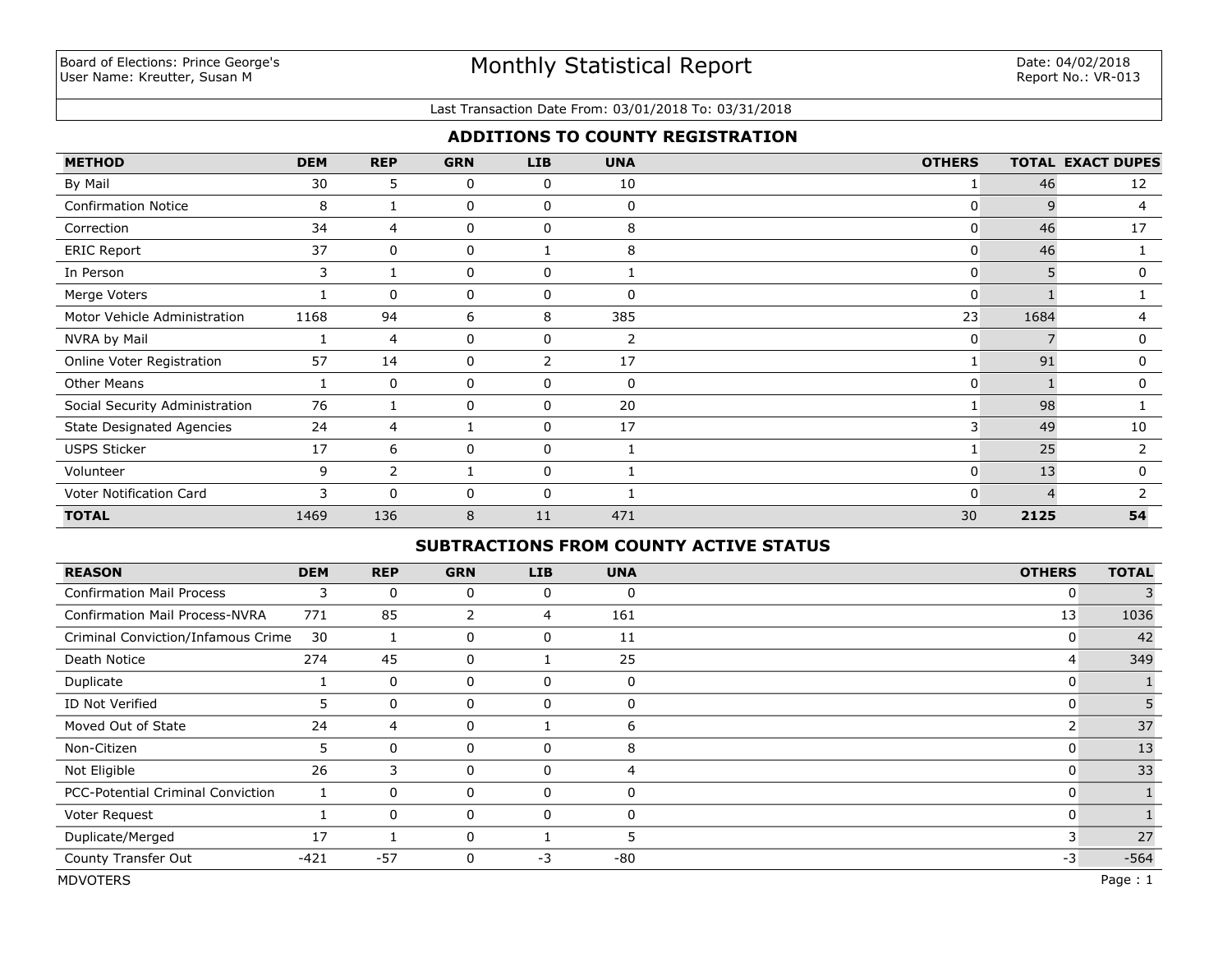#### Last Transaction Date From: 03/01/2018 To: 03/31/2018

## **ADDITIONS TO COUNTY REGISTRATION**

| <b>METHOD</b>                    | <b>DEM</b> | <b>REP</b>     | <b>GRN</b> | <b>LIB</b>  | <b>UNA</b> | <b>OTHERS</b>  |      | <b>TOTAL EXACT DUPES</b> |
|----------------------------------|------------|----------------|------------|-------------|------------|----------------|------|--------------------------|
| By Mail                          | 30         | 5              | 0          | 0           | 10         |                | 46   | 12                       |
| <b>Confirmation Notice</b>       | 8          |                | 0          | 0           | $\Omega$   |                | q    | 4                        |
| Correction                       | 34         | 4              | 0          | 0           | 8          | 0              | 46   | 17                       |
| <b>ERIC Report</b>               | 37         | $\mathbf{0}$   | 0          |             | 8          | 0              | 46   |                          |
| In Person                        | 3          | 1              | 0          | 0           |            | 0              | 5    | $\Omega$                 |
| Merge Voters                     |            | 0              | 0          | 0           | 0          | 0              |      |                          |
| Motor Vehicle Administration     | 1168       | 94             | 6          | 8           | 385        | 23             | 1684 | 4                        |
| NVRA by Mail                     |            | 4              | 0          | 0           | 2          | 0              |      | 0                        |
| Online Voter Registration        | 57         | 14             | 0          | 2           | 17         |                | 91   | 0                        |
| <b>Other Means</b>               |            | $\Omega$       | 0          | 0           | 0          | 0              |      | $\mathbf{0}$             |
| Social Security Administration   | 76         |                | 0          | 0           | 20         |                | 98   |                          |
| <b>State Designated Agencies</b> | 24         | 4              |            | 0           | 17         | $\overline{3}$ | 49   | 10                       |
| <b>USPS Sticker</b>              | 17         | 6              | 0          | $\mathbf 0$ |            |                | 25   | 2                        |
| Volunteer                        | 9          | $\overline{2}$ |            | 0           |            | 0              | 13   | 0                        |
| Voter Notification Card          | 3          | $\mathbf{0}$   | 0          | 0           |            | 0              |      |                          |
| <b>TOTAL</b>                     | 1469       | 136            | 8          | 11          | 471        | 30             | 2125 | 54                       |

## **SUBTRACTIONS FROM COUNTY ACTIVE STATUS**

| <b>REASON</b>                         | <b>DEM</b> | <b>REP</b>   | <b>GRN</b>     | <b>LIB</b> | <b>UNA</b>  | <b>OTHERS</b> | <b>TOTAL</b> |
|---------------------------------------|------------|--------------|----------------|------------|-------------|---------------|--------------|
| <b>Confirmation Mail Process</b>      | 3          | 0            | 0              | 0          | $\Omega$    | 0             |              |
| <b>Confirmation Mail Process-NVRA</b> | 771        | 85           | $\overline{2}$ | 4          | 161         | 13            | 1036         |
| Criminal Conviction/Infamous Crime    | 30         |              | 0              | 0          | 11          | 0             | 42           |
| Death Notice                          | 274        | 45           | 0              |            | 25          | 4             | 349          |
| Duplicate                             |            | 0            | 0              | 0          | $\mathbf 0$ | 0             |              |
| ID Not Verified                       | 5          | $\Omega$     | 0              | 0          | $\Omega$    | 0             | 5            |
| Moved Out of State                    | 24         | 4            | 0              |            | 6           |               | 37           |
| Non-Citizen                           | 5          | 0            | 0              | 0          | 8           | 0             | 13           |
| Not Eligible                          | 26         | 3            | 0              | 0          | 4           | 0             | 33           |
| PCC-Potential Criminal Conviction     |            | 0            | 0              | 0          | 0           | 0             |              |
| Voter Request                         |            | $\mathbf{0}$ | 0              | $\Omega$   | $\Omega$    |               |              |
| Duplicate/Merged                      | 17         |              | 0              |            | ּ           | 3             | 27           |
| County Transfer Out                   | $-421$     | $-57$        | 0              | $-3$       | -80         | $-3$          | $-564$       |
| <b>MDVOTERS</b>                       |            |              |                |            |             |               | Page: 1      |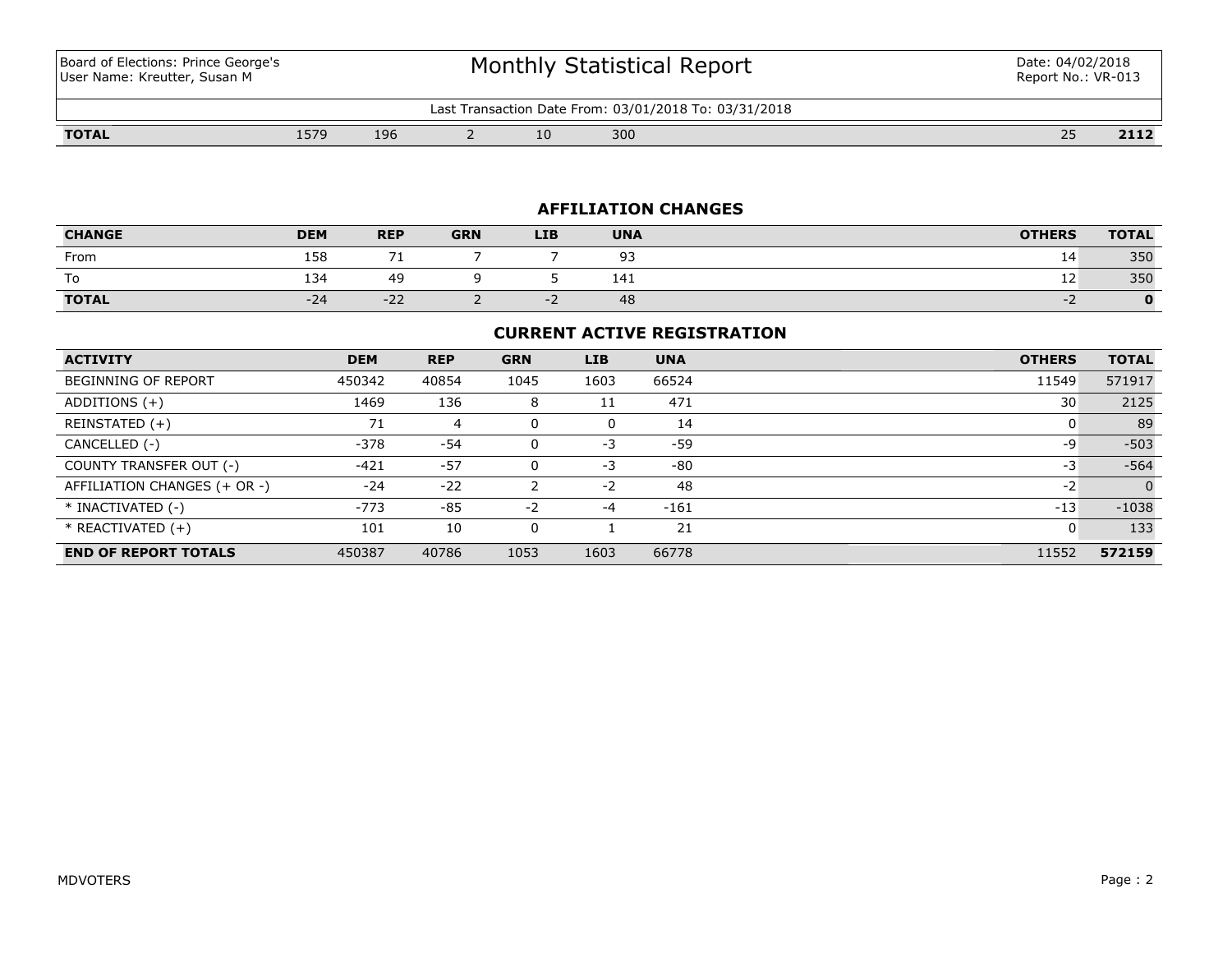Board of Elections: Prince George's User Name: Kreutter, Susan M

# Monthly Statistical Report

| From: 03/01/2018 To:<br>03/31/2018<br>∟ast<br>Transaction<br>Date |                |     |  |    |     |                         |          |  |  |
|-------------------------------------------------------------------|----------------|-----|--|----|-----|-------------------------|----------|--|--|
| <b>TOTAL</b>                                                      | エロフロ<br>$-117$ | 196 |  | 10 | 300 | $\sim$ $\sim$<br>$\sim$ | <br>211Z |  |  |

## **AFFILIATION CHANGES**

| <b>CHANGE</b> | <b>DEM</b> | <b>REP</b>     | <b>GRN</b> | <b>LIB</b> | <b>UNA</b> | <b>OTHERS</b> | <b>TOTAL</b> |
|---------------|------------|----------------|------------|------------|------------|---------------|--------------|
| From          | 158        |                |            |            | ۹P<br>--   | 14            | 350          |
| To            | 134        | 49             |            |            | 141        | ᅶ             | 350          |
| <b>TOTAL</b>  | $-24$      | $\sim$<br>$-L$ |            |            | 48         |               |              |

## **CURRENT ACTIVE REGISTRATION**

| <b>ACTIVITY</b>              | <b>DEM</b> | <b>REP</b> | <b>GRN</b> | <b>LIB</b> | <b>UNA</b> | <b>OTHERS</b> | <b>TOTAL</b> |
|------------------------------|------------|------------|------------|------------|------------|---------------|--------------|
| <b>BEGINNING OF REPORT</b>   | 450342     | 40854      | 1045       | 1603       | 66524      | 11549         | 571917       |
| ADDITIONS $(+)$              | 1469       | 136        | 8          | 11         | 471        | 30            | 2125         |
| REINSTATED (+)               | 71         | 4          | 0          | 0          | 14         | 0             | 89           |
| CANCELLED (-)                | $-378$     | $-54$      | 0          | -3         | -59        | -9            | $-503$       |
| COUNTY TRANSFER OUT (-)      | $-421$     | $-57$      | 0          | $-3$       | $-80$      | -3            | $-564$       |
| AFFILIATION CHANGES (+ OR -) | $-24$      | $-22$      |            | $-2$       | 48         | $-2$          | $\Omega$     |
| * INACTIVATED (-)            | $-773$     | $-85$      | $-2$       | $-4$       | $-161$     | $-13$         | $-1038$      |
| * REACTIVATED (+)            | 101        | 10         | 0          |            | 21         | 0             | 133          |
| <b>END OF REPORT TOTALS</b>  | 450387     | 40786      | 1053       | 1603       | 66778      | 11552         | 572159       |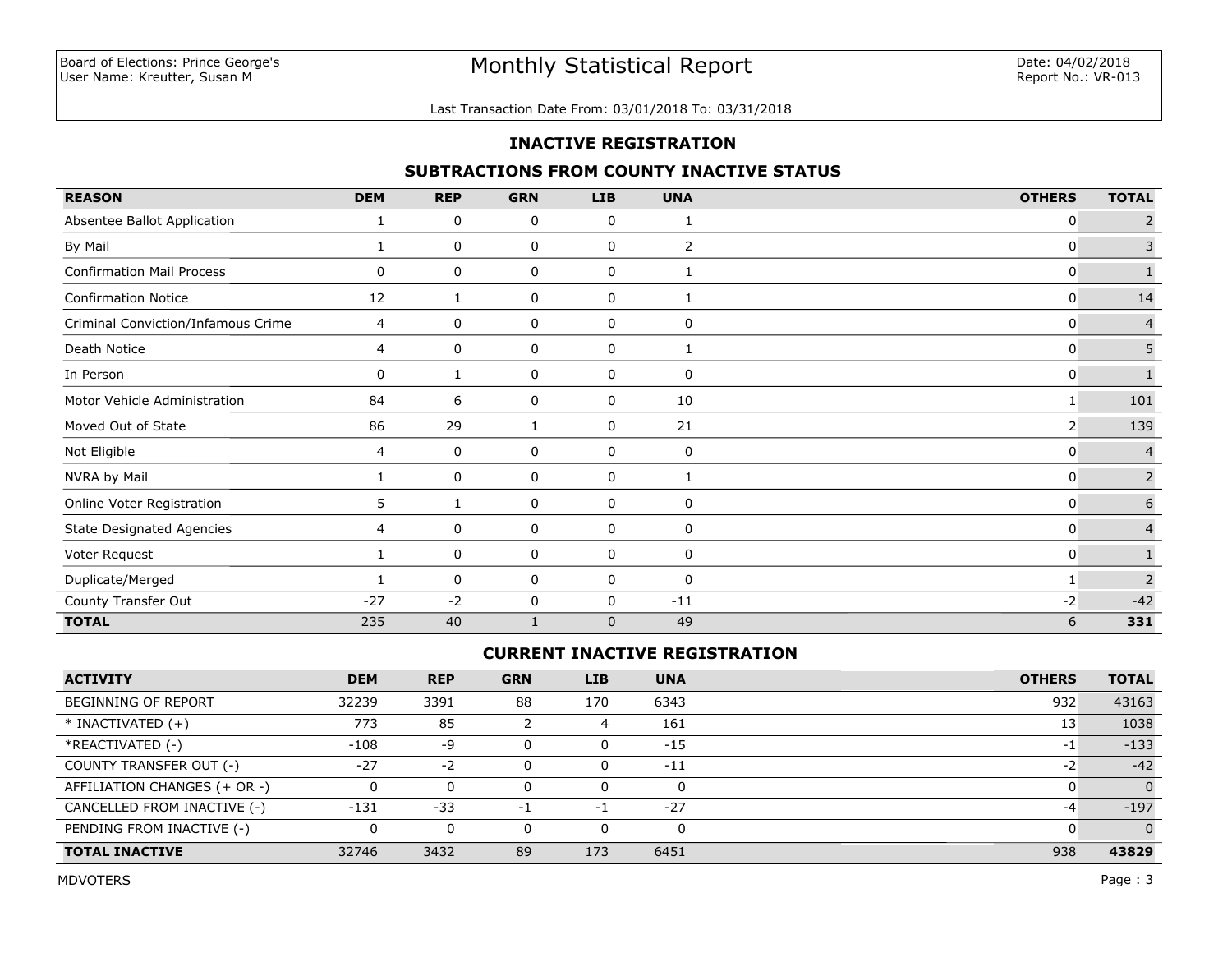#### Last Transaction Date From: 03/01/2018 To: 03/31/2018

## **INACTIVE REGISTRATION**

## **SUBTRACTIONS FROM COUNTY INACTIVE STATUS**

| <b>REASON</b>                      | <b>DEM</b> | <b>REP</b> | <b>GRN</b>   | <b>LIB</b>   | <b>UNA</b>   | <b>OTHERS</b> | <b>TOTAL</b>   |
|------------------------------------|------------|------------|--------------|--------------|--------------|---------------|----------------|
| Absentee Ballot Application        | 1          | 0          | 0            | 0            | 1            | 0             | $\overline{2}$ |
| By Mail                            | 1          | 0          | 0            | $\mathbf 0$  | 2            | 0             | 3              |
| <b>Confirmation Mail Process</b>   | 0          | 0          | 0            | $\mathbf 0$  | $\mathbf{1}$ | $\mathbf{0}$  |                |
| <b>Confirmation Notice</b>         | 12         | 1          | 0            | 0            | 1            | 0             | 14             |
| Criminal Conviction/Infamous Crime | 4          | 0          | 0            | 0            | 0            | 0             | $\overline{4}$ |
| Death Notice                       | 4          | 0          | 0            | 0            | 1            | 0             | 5              |
| In Person                          | 0          | 1          | 0            | 0            | 0            | 0             | $\mathbf{1}$   |
| Motor Vehicle Administration       | 84         | 6          | 0            | 0            | 10           |               | 101            |
| Moved Out of State                 | 86         | 29         | $\mathbf{1}$ | 0            | 21           | 2             | 139            |
| Not Eligible                       | 4          | 0          | 0            | 0            | 0            | 0             | $\overline{4}$ |
| NVRA by Mail                       | 1          | 0          | 0            | 0            | 1            | 0             | $\overline{2}$ |
| Online Voter Registration          | 5.         |            | 0            | $\mathbf 0$  | 0            | 0             | 6              |
| <b>State Designated Agencies</b>   | 4          | 0          | 0            | 0            | 0            | 0             | $\overline{4}$ |
| Voter Request                      | 1          | 0          | 0            | 0            | 0            | $\mathbf{0}$  | $\mathbf{1}$   |
| Duplicate/Merged                   |            | 0          | 0            | 0            | 0            |               | $\overline{2}$ |
| County Transfer Out                | $-27$      | $-2$       | 0            | $\Omega$     | $-11$        | $-2$          | $-42$          |
| <b>TOTAL</b>                       | 235        | 40         |              | $\mathbf{0}$ | 49           | 6             | 331            |

# **CURRENT INACTIVE REGISTRATION**

| <b>ACTIVITY</b>              | <b>DEM</b> | <b>REP</b> | <b>GRN</b> | <b>LIB</b> | <b>UNA</b> | <b>OTHERS</b> | <b>TOTAL</b>   |
|------------------------------|------------|------------|------------|------------|------------|---------------|----------------|
| BEGINNING OF REPORT          | 32239      | 3391       | 88         | 170        | 6343       | 932           | 43163          |
| $*$ INACTIVATED $(+)$        | 773        | 85         |            | 4          | 161        | 13            | 1038           |
| *REACTIVATED (-)             | $-108$     | -9         |            | 0          | $-15$      | $-1$          | $-133$         |
| COUNTY TRANSFER OUT (-)      | $-27$      | $-2$       |            | 0          | -11        | $-2$          | $-42$          |
| AFFILIATION CHANGES (+ OR -) |            | 0          |            | 0          | $\Omega$   |               | $\Omega$       |
| CANCELLED FROM INACTIVE (-)  | $-131$     | $-33$      | -1         | -1         | $-27$      | -4            | $-197$         |
| PENDING FROM INACTIVE (-)    | 0          | 0          |            | 0          |            |               | $\overline{0}$ |
| <b>TOTAL INACTIVE</b>        | 32746      | 3432       | 89         | 173        | 6451       | 938           | 43829          |